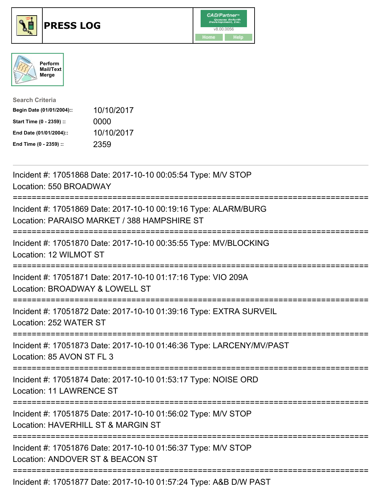

## **PRESS LOG** v8.00.0056





| <b>Search Criteria</b>    |            |
|---------------------------|------------|
| Begin Date (01/01/2004):: | 10/10/2017 |
| Start Time (0 - 2359) ::  | 0000       |
| End Date (01/01/2004)::   | 10/10/2017 |
| End Time (0 - 2359) ::    | 2359       |

Incident #: 17051868 Date: 2017-10-10 00:05:54 Type: M/V STOP Location: 550 BROADWAY =========================================================================== Incident #: 17051869 Date: 2017-10-10 00:19:16 Type: ALARM/BURG Location: PARAISO MARKET / 388 HAMPSHIRE ST =========================================================================== Incident #: 17051870 Date: 2017-10-10 00:35:55 Type: MV/BLOCKING Location: 12 WILMOT ST =========================================================================== Incident #: 17051871 Date: 2017-10-10 01:17:16 Type: VIO 209A Location: BROADWAY & LOWELL ST =========================================================================== Incident #: 17051872 Date: 2017-10-10 01:39:16 Type: EXTRA SURVEIL Location: 252 WATER ST =========================================================================== Incident #: 17051873 Date: 2017-10-10 01:46:36 Type: LARCENY/MV/PAST Location: 85 AVON ST FL 3 =========================================================================== Incident #: 17051874 Date: 2017-10-10 01:53:17 Type: NOISE ORD Location: 11 LAWRENCE ST =========================================================================== Incident #: 17051875 Date: 2017-10-10 01:56:02 Type: M/V STOP Location: HAVERHILL ST & MARGIN ST =========================================================================== Incident #: 17051876 Date: 2017-10-10 01:56:37 Type: M/V STOP Location: ANDOVER ST & BEACON ST ===========================================================================

Incident #: 17051877 Date: 2017-10-10 01:57:24 Type: A&B D/W PAST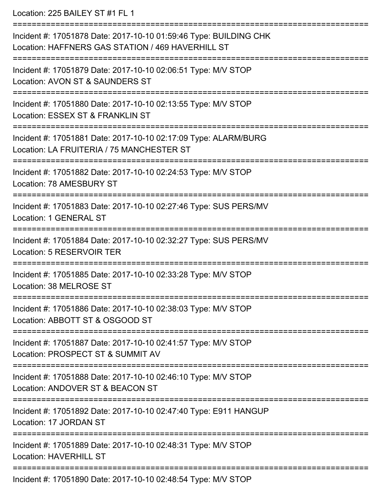Location: 225 BAILEY ST #1 FL 1

=========================================================================== Incident #: 17051878 Date: 2017-10-10 01:59:46 Type: BUILDING CHK Location: HAFFNERS GAS STATION / 469 HAVERHILL ST =========================================================================== Incident #: 17051879 Date: 2017-10-10 02:06:51 Type: M/V STOP Location: AVON ST & SAUNDERS ST =========================================================================== Incident #: 17051880 Date: 2017-10-10 02:13:55 Type: M/V STOP Location: ESSEX ST & FRANKLIN ST =========================================================================== Incident #: 17051881 Date: 2017-10-10 02:17:09 Type: ALARM/BURG Location: LA FRUITERIA / 75 MANCHESTER ST =========================================================================== Incident #: 17051882 Date: 2017-10-10 02:24:53 Type: M/V STOP Location: 78 AMESBURY ST =========================================================================== Incident #: 17051883 Date: 2017-10-10 02:27:46 Type: SUS PERS/MV Location: 1 GENERAL ST =========================================================================== Incident #: 17051884 Date: 2017-10-10 02:32:27 Type: SUS PERS/MV Location: 5 RESERVOIR TER =========================================================================== Incident #: 17051885 Date: 2017-10-10 02:33:28 Type: M/V STOP Location: 38 MELROSE ST =========================================================================== Incident #: 17051886 Date: 2017-10-10 02:38:03 Type: M/V STOP Location: ABBOTT ST & OSGOOD ST =========================================================================== Incident #: 17051887 Date: 2017-10-10 02:41:57 Type: M/V STOP Location: PROSPECT ST & SUMMIT AV =========================================================================== Incident #: 17051888 Date: 2017-10-10 02:46:10 Type: M/V STOP Location: ANDOVER ST & BEACON ST =========================================================================== Incident #: 17051892 Date: 2017-10-10 02:47:40 Type: E911 HANGUP Location: 17 JORDAN ST =========================================================================== Incident #: 17051889 Date: 2017-10-10 02:48:31 Type: M/V STOP Location: HAVERHILL ST =========================================================================== Incident #: 17051890 Date: 2017-10-10 02:48:54 Type: M/V STOP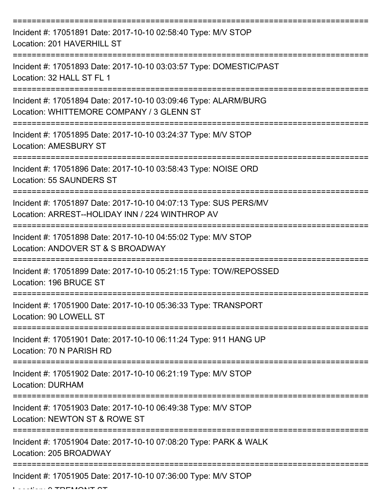| Incident #: 17051891 Date: 2017-10-10 02:58:40 Type: M/V STOP<br>Location: 201 HAVERHILL ST                                     |
|---------------------------------------------------------------------------------------------------------------------------------|
| Incident #: 17051893 Date: 2017-10-10 03:03:57 Type: DOMESTIC/PAST<br>Location: 32 HALL ST FL 1                                 |
| Incident #: 17051894 Date: 2017-10-10 03:09:46 Type: ALARM/BURG<br>Location: WHITTEMORE COMPANY / 3 GLENN ST                    |
| Incident #: 17051895 Date: 2017-10-10 03:24:37 Type: M/V STOP<br><b>Location: AMESBURY ST</b>                                   |
| Incident #: 17051896 Date: 2017-10-10 03:58:43 Type: NOISE ORD<br><b>Location: 55 SAUNDERS ST</b>                               |
| Incident #: 17051897 Date: 2017-10-10 04:07:13 Type: SUS PERS/MV<br>Location: ARREST--HOLIDAY INN / 224 WINTHROP AV             |
| Incident #: 17051898 Date: 2017-10-10 04:55:02 Type: M/V STOP<br>Location: ANDOVER ST & S BROADWAY                              |
| Incident #: 17051899 Date: 2017-10-10 05:21:15 Type: TOW/REPOSSED<br>Location: 196 BRUCE ST                                     |
| Incident #: 17051900 Date: 2017-10-10 05:36:33 Type: TRANSPORT<br>Location: 90 LOWELL ST                                        |
| Incident #: 17051901 Date: 2017-10-10 06:11:24 Type: 911 HANG UP<br>Location: 70 N PARISH RD                                    |
| Incident #: 17051902 Date: 2017-10-10 06:21:19 Type: M/V STOP<br><b>Location: DURHAM</b><br>:================================== |
| Incident #: 17051903 Date: 2017-10-10 06:49:38 Type: M/V STOP<br>Location: NEWTON ST & ROWE ST                                  |
| Incident #: 17051904 Date: 2017-10-10 07:08:20 Type: PARK & WALK<br>Location: 205 BROADWAY                                      |
| Incident #: 17051905 Date: 2017-10-10 07:36:00 Type: M/V STOP                                                                   |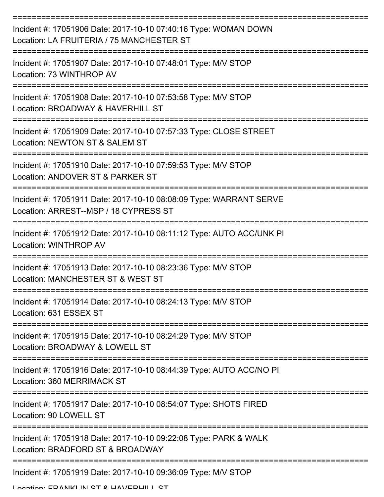| Incident #: 17051906 Date: 2017-10-10 07:40:16 Type: WOMAN DOWN<br>Location: LA FRUITERIA / 75 MANCHESTER ST |
|--------------------------------------------------------------------------------------------------------------|
| Incident #: 17051907 Date: 2017-10-10 07:48:01 Type: M/V STOP<br>Location: 73 WINTHROP AV                    |
| Incident #: 17051908 Date: 2017-10-10 07:53:58 Type: M/V STOP<br>Location: BROADWAY & HAVERHILL ST           |
| Incident #: 17051909 Date: 2017-10-10 07:57:33 Type: CLOSE STREET<br>Location: NEWTON ST & SALEM ST          |
| Incident #: 17051910 Date: 2017-10-10 07:59:53 Type: M/V STOP<br>Location: ANDOVER ST & PARKER ST            |
| Incident #: 17051911 Date: 2017-10-10 08:08:09 Type: WARRANT SERVE<br>Location: ARREST--MSP / 18 CYPRESS ST  |
| Incident #: 17051912 Date: 2017-10-10 08:11:12 Type: AUTO ACC/UNK PI<br><b>Location: WINTHROP AV</b>         |
| Incident #: 17051913 Date: 2017-10-10 08:23:36 Type: M/V STOP<br>Location: MANCHESTER ST & WEST ST           |
| Incident #: 17051914 Date: 2017-10-10 08:24:13 Type: M/V STOP<br>Location: 631 ESSEX ST                      |
| Incident #: 17051915 Date: 2017-10-10 08:24:29 Type: M/V STOP<br>Location: BROADWAY & LOWELL ST              |
| Incident #: 17051916 Date: 2017-10-10 08:44:39 Type: AUTO ACC/NO PI<br>Location: 360 MERRIMACK ST            |
| Incident #: 17051917 Date: 2017-10-10 08:54:07 Type: SHOTS FIRED<br>Location: 90 LOWELL ST                   |
| Incident #: 17051918 Date: 2017-10-10 09:22:08 Type: PARK & WALK<br>Location: BRADFORD ST & BROADWAY         |
| Incident #: 17051919 Date: 2017-10-10 09:36:09 Type: M/V STOP                                                |

Location: EDANIKI IN CT & HAVEDHILL CT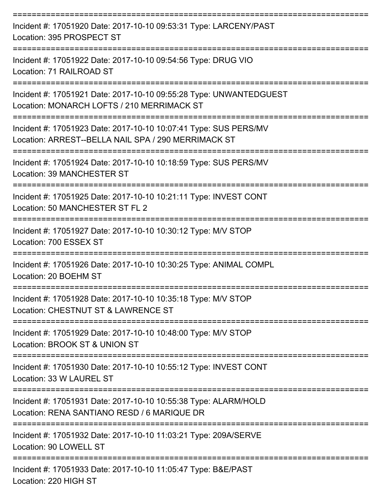| Incident #: 17051920 Date: 2017-10-10 09:53:31 Type: LARCENY/PAST<br>Location: 395 PROSPECT ST                          |
|-------------------------------------------------------------------------------------------------------------------------|
| Incident #: 17051922 Date: 2017-10-10 09:54:56 Type: DRUG VIO<br>Location: 71 RAILROAD ST                               |
| Incident #: 17051921 Date: 2017-10-10 09:55:28 Type: UNWANTEDGUEST<br>Location: MONARCH LOFTS / 210 MERRIMACK ST        |
| Incident #: 17051923 Date: 2017-10-10 10:07:41 Type: SUS PERS/MV<br>Location: ARREST--BELLA NAIL SPA / 290 MERRIMACK ST |
| Incident #: 17051924 Date: 2017-10-10 10:18:59 Type: SUS PERS/MV<br>Location: 39 MANCHESTER ST                          |
| Incident #: 17051925 Date: 2017-10-10 10:21:11 Type: INVEST CONT<br>Location: 50 MANCHESTER ST FL 2                     |
| Incident #: 17051927 Date: 2017-10-10 10:30:12 Type: M/V STOP<br>Location: 700 ESSEX ST                                 |
| Incident #: 17051926 Date: 2017-10-10 10:30:25 Type: ANIMAL COMPL<br>Location: 20 BOEHM ST                              |
| Incident #: 17051928 Date: 2017-10-10 10:35:18 Type: M/V STOP<br>Location: CHESTNUT ST & LAWRENCE ST                    |
| Incident #: 17051929 Date: 2017-10-10 10:48:00 Type: M/V STOP<br>Location: BROOK ST & UNION ST                          |
| Incident #: 17051930 Date: 2017-10-10 10:55:12 Type: INVEST CONT<br>Location: 33 W LAUREL ST                            |
| Incident #: 17051931 Date: 2017-10-10 10:55:38 Type: ALARM/HOLD<br>Location: RENA SANTIANO RESD / 6 MARIQUE DR          |
| Incident #: 17051932 Date: 2017-10-10 11:03:21 Type: 209A/SERVE<br>Location: 90 LOWELL ST                               |
| Incident #: 17051933 Date: 2017-10-10 11:05:47 Type: B&E/PAST                                                           |

Location: 220 HIGH ST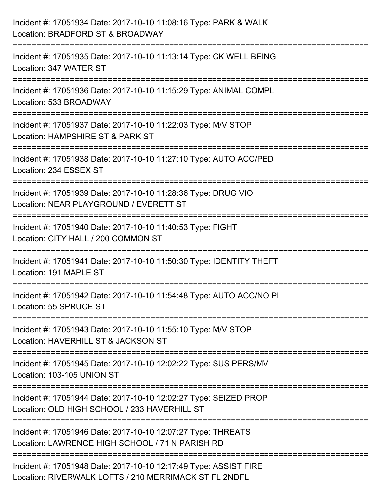| Incident #: 17051934 Date: 2017-10-10 11:08:16 Type: PARK & WALK<br>Location: BRADFORD ST & BROADWAY                      |
|---------------------------------------------------------------------------------------------------------------------------|
| ===================<br>Incident #: 17051935 Date: 2017-10-10 11:13:14 Type: CK WELL BEING<br>Location: 347 WATER ST       |
| Incident #: 17051936 Date: 2017-10-10 11:15:29 Type: ANIMAL COMPL<br>Location: 533 BROADWAY                               |
| Incident #: 17051937 Date: 2017-10-10 11:22:03 Type: M/V STOP<br>Location: HAMPSHIRE ST & PARK ST                         |
| Incident #: 17051938 Date: 2017-10-10 11:27:10 Type: AUTO ACC/PED<br>Location: 234 ESSEX ST                               |
| Incident #: 17051939 Date: 2017-10-10 11:28:36 Type: DRUG VIO<br>Location: NEAR PLAYGROUND / EVERETT ST                   |
| Incident #: 17051940 Date: 2017-10-10 11:40:53 Type: FIGHT<br>Location: CITY HALL / 200 COMMON ST                         |
| Incident #: 17051941 Date: 2017-10-10 11:50:30 Type: IDENTITY THEFT<br>Location: 191 MAPLE ST                             |
| Incident #: 17051942 Date: 2017-10-10 11:54:48 Type: AUTO ACC/NO PI<br>Location: 55 SPRUCE ST                             |
| Incident #: 17051943 Date: 2017-10-10 11:55:10 Type: M/V STOP<br>Location: HAVERHILL ST & JACKSON ST                      |
| Incident #: 17051945 Date: 2017-10-10 12:02:22 Type: SUS PERS/MV<br>Location: 103-105 UNION ST                            |
| Incident #: 17051944 Date: 2017-10-10 12:02:27 Type: SEIZED PROP<br>Location: OLD HIGH SCHOOL / 233 HAVERHILL ST          |
| Incident #: 17051946 Date: 2017-10-10 12:07:27 Type: THREATS<br>Location: LAWRENCE HIGH SCHOOL / 71 N PARISH RD           |
| Incident #: 17051948 Date: 2017-10-10 12:17:49 Type: ASSIST FIRE<br>Location: RIVERWALK LOFTS / 210 MERRIMACK ST FL 2NDFL |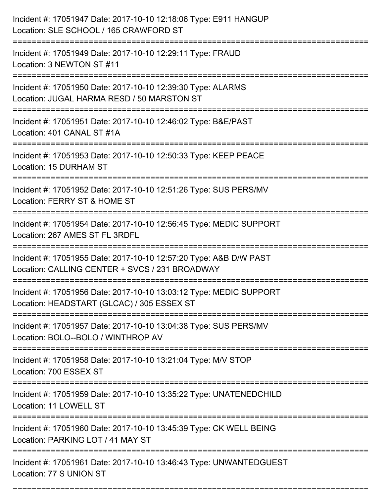| Incident #: 17051947 Date: 2017-10-10 12:18:06 Type: E911 HANGUP<br>Location: SLE SCHOOL / 165 CRAWFORD ST<br>:================================== |
|---------------------------------------------------------------------------------------------------------------------------------------------------|
| Incident #: 17051949 Date: 2017-10-10 12:29:11 Type: FRAUD<br>Location: 3 NEWTON ST #11                                                           |
| Incident #: 17051950 Date: 2017-10-10 12:39:30 Type: ALARMS<br>Location: JUGAL HARMA RESD / 50 MARSTON ST<br>=========================            |
| Incident #: 17051951 Date: 2017-10-10 12:46:02 Type: B&E/PAST<br>Location: 401 CANAL ST #1A                                                       |
| Incident #: 17051953 Date: 2017-10-10 12:50:33 Type: KEEP PEACE<br>Location: 15 DURHAM ST                                                         |
| Incident #: 17051952 Date: 2017-10-10 12:51:26 Type: SUS PERS/MV<br>Location: FERRY ST & HOME ST                                                  |
| Incident #: 17051954 Date: 2017-10-10 12:56:45 Type: MEDIC SUPPORT<br>Location: 267 AMES ST FL 3RDFL<br>================                          |
| Incident #: 17051955 Date: 2017-10-10 12:57:20 Type: A&B D/W PAST<br>Location: CALLING CENTER + SVCS / 231 BROADWAY                               |
| Incident #: 17051956 Date: 2017-10-10 13:03:12 Type: MEDIC SUPPORT<br>Location: HEADSTART (GLCAC) / 305 ESSEX ST                                  |
| Incident #: 17051957 Date: 2017-10-10 13:04:38 Type: SUS PERS/MV<br>Location: BOLO--BOLO / WINTHROP AV                                            |
| Incident #: 17051958 Date: 2017-10-10 13:21:04 Type: M/V STOP<br>Location: 700 ESSEX ST                                                           |
| Incident #: 17051959 Date: 2017-10-10 13:35:22 Type: UNATENEDCHILD<br>Location: 11 LOWELL ST                                                      |
| Incident #: 17051960 Date: 2017-10-10 13:45:39 Type: CK WELL BEING<br>Location: PARKING LOT / 41 MAY ST                                           |
| Incident #: 17051961 Date: 2017-10-10 13:46:43 Type: UNWANTEDGUEST<br>Location: 77 S UNION ST                                                     |

===========================================================================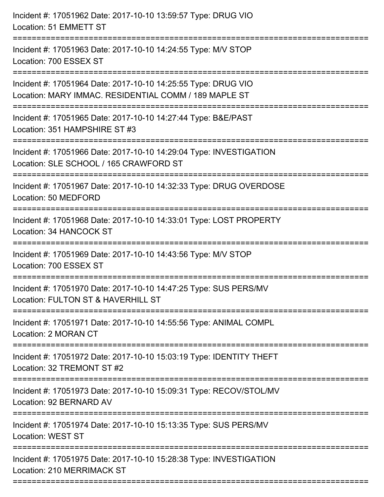| Incident #: 17051962 Date: 2017-10-10 13:59:57 Type: DRUG VIO<br>Location: 51 EMMETT ST                                |
|------------------------------------------------------------------------------------------------------------------------|
| Incident #: 17051963 Date: 2017-10-10 14:24:55 Type: M/V STOP<br>Location: 700 ESSEX ST                                |
| Incident #: 17051964 Date: 2017-10-10 14:25:55 Type: DRUG VIO<br>Location: MARY IMMAC. RESIDENTIAL COMM / 189 MAPLE ST |
| Incident #: 17051965 Date: 2017-10-10 14:27:44 Type: B&E/PAST<br>Location: 351 HAMPSHIRE ST #3                         |
| Incident #: 17051966 Date: 2017-10-10 14:29:04 Type: INVESTIGATION<br>Location: SLE SCHOOL / 165 CRAWFORD ST           |
| Incident #: 17051967 Date: 2017-10-10 14:32:33 Type: DRUG OVERDOSE<br>Location: 50 MEDFORD                             |
| Incident #: 17051968 Date: 2017-10-10 14:33:01 Type: LOST PROPERTY<br>Location: 34 HANCOCK ST                          |
| Incident #: 17051969 Date: 2017-10-10 14:43:56 Type: M/V STOP<br>Location: 700 ESSEX ST                                |
| Incident #: 17051970 Date: 2017-10-10 14:47:25 Type: SUS PERS/MV<br>Location: FULTON ST & HAVERHILL ST                 |
| Incident #: 17051971 Date: 2017-10-10 14:55:56 Type: ANIMAL COMPL<br>Location: 2 MORAN CT                              |
| Incident #: 17051972 Date: 2017-10-10 15:03:19 Type: IDENTITY THEFT<br>Location: 32 TREMONT ST #2                      |
| Incident #: 17051973 Date: 2017-10-10 15:09:31 Type: RECOV/STOL/MV<br>Location: 92 BERNARD AV                          |
| Incident #: 17051974 Date: 2017-10-10 15:13:35 Type: SUS PERS/MV<br><b>Location: WEST ST</b>                           |
| Incident #: 17051975 Date: 2017-10-10 15:28:38 Type: INVESTIGATION<br>Location: 210 MERRIMACK ST                       |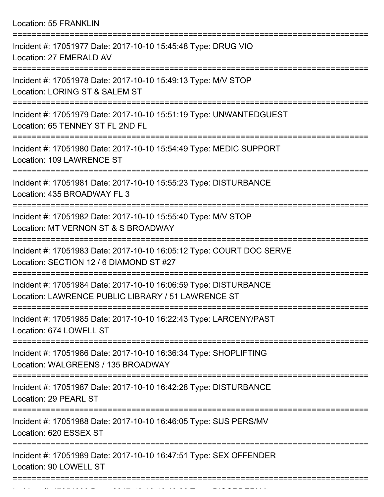Location: 55 FRANKLIN

| Incident #: 17051977 Date: 2017-10-10 15:45:48 Type: DRUG VIO<br>Location: 27 EMERALD AV                                      |
|-------------------------------------------------------------------------------------------------------------------------------|
| Incident #: 17051978 Date: 2017-10-10 15:49:13 Type: M/V STOP<br>Location: LORING ST & SALEM ST                               |
| Incident #: 17051979 Date: 2017-10-10 15:51:19 Type: UNWANTEDGUEST<br>Location: 65 TENNEY ST FL 2ND FL                        |
| Incident #: 17051980 Date: 2017-10-10 15:54:49 Type: MEDIC SUPPORT<br>Location: 109 LAWRENCE ST                               |
| Incident #: 17051981 Date: 2017-10-10 15:55:23 Type: DISTURBANCE<br>Location: 435 BROADWAY FL 3                               |
| Incident #: 17051982 Date: 2017-10-10 15:55:40 Type: M/V STOP<br>Location: MT VERNON ST & S BROADWAY                          |
| Incident #: 17051983 Date: 2017-10-10 16:05:12 Type: COURT DOC SERVE<br>Location: SECTION 12 / 6 DIAMOND ST #27               |
| Incident #: 17051984 Date: 2017-10-10 16:06:59 Type: DISTURBANCE<br>Location: LAWRENCE PUBLIC LIBRARY / 51 LAWRENCE ST        |
| Incident #: 17051985 Date: 2017-10-10 16:22:43 Type: LARCENY/PAST<br>Location: 674 LOWELL ST                                  |
| ===================<br>Incident #: 17051986 Date: 2017-10-10 16:36:34 Type: SHOPLIFTING<br>Location: WALGREENS / 135 BROADWAY |
| Incident #: 17051987 Date: 2017-10-10 16:42:28 Type: DISTURBANCE<br>Location: 29 PEARL ST                                     |
| Incident #: 17051988 Date: 2017-10-10 16:46:05 Type: SUS PERS/MV<br>Location: 620 ESSEX ST                                    |
| Incident #: 17051989 Date: 2017-10-10 16:47:51 Type: SEX OFFENDER<br>Location: 90 LOWELL ST                                   |
|                                                                                                                               |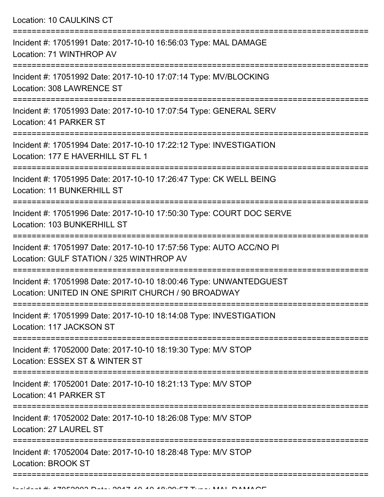Location: 10 CAULKINS CT =========================================================================== Incident #: 17051991 Date: 2017-10-10 16:56:03 Type: MAL DAMAGE Location: 71 WINTHROP AV =========================================================================== Incident #: 17051992 Date: 2017-10-10 17:07:14 Type: MV/BLOCKING Location: 308 LAWRENCE ST =========================================================================== Incident #: 17051993 Date: 2017-10-10 17:07:54 Type: GENERAL SERV Location: 41 PARKER ST =========================================================================== Incident #: 17051994 Date: 2017-10-10 17:22:12 Type: INVESTIGATION Location: 177 E HAVERHILL ST FL 1 =========================================================================== Incident #: 17051995 Date: 2017-10-10 17:26:47 Type: CK WELL BEING Location: 11 BUNKERHILL ST =========================================================================== Incident #: 17051996 Date: 2017-10-10 17:50:30 Type: COURT DOC SERVE Location: 103 BUNKERHILL ST =========================================================================== Incident #: 17051997 Date: 2017-10-10 17:57:56 Type: AUTO ACC/NO PI Location: GULF STATION / 325 WINTHROP AV =========================================================================== Incident #: 17051998 Date: 2017-10-10 18:00:46 Type: UNWANTEDGUEST Location: UNITED IN ONE SPIRIT CHURCH / 90 BROADWAY =========================================================================== Incident #: 17051999 Date: 2017-10-10 18:14:08 Type: INVESTIGATION Location: 117 JACKSON ST =========================================================================== Incident #: 17052000 Date: 2017-10-10 18:19:30 Type: M/V STOP Location: ESSEX ST & WINTER ST =========================================================================== Incident #: 17052001 Date: 2017-10-10 18:21:13 Type: M/V STOP Location: 41 PARKER ST =========================================================================== Incident #: 17052002 Date: 2017-10-10 18:26:08 Type: M/V STOP Location: 27 LAUREL ST =========================================================================== Incident #: 17052004 Date: 2017-10-10 18:28:48 Type: M/V STOP Location: BROOK ST

===========================================================================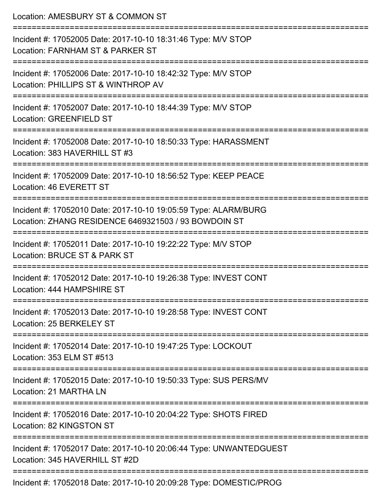| Location: AMESBURY ST & COMMON ST                                                                                       |
|-------------------------------------------------------------------------------------------------------------------------|
| Incident #: 17052005 Date: 2017-10-10 18:31:46 Type: M/V STOP<br>Location: FARNHAM ST & PARKER ST                       |
| Incident #: 17052006 Date: 2017-10-10 18:42:32 Type: M/V STOP<br>Location: PHILLIPS ST & WINTHROP AV                    |
| Incident #: 17052007 Date: 2017-10-10 18:44:39 Type: M/V STOP<br>Location: GREENFIELD ST                                |
| Incident #: 17052008 Date: 2017-10-10 18:50:33 Type: HARASSMENT<br>Location: 383 HAVERHILL ST #3                        |
| Incident #: 17052009 Date: 2017-10-10 18:56:52 Type: KEEP PEACE<br>Location: 46 EVERETT ST                              |
| Incident #: 17052010 Date: 2017-10-10 19:05:59 Type: ALARM/BURG<br>Location: ZHANG RESIDENCE 6469321503 / 93 BOWDOIN ST |
| Incident #: 17052011 Date: 2017-10-10 19:22:22 Type: M/V STOP<br>Location: BRUCE ST & PARK ST                           |
| Incident #: 17052012 Date: 2017-10-10 19:26:38 Type: INVEST CONT<br>Location: 444 HAMPSHIRE ST                          |
| Incident #: 17052013 Date: 2017-10-10 19:28:58 Type: INVEST CONT<br>Location: 25 BERKELEY ST                            |
| Incident #: 17052014 Date: 2017-10-10 19:47:25 Type: LOCKOUT<br>Location: 353 ELM ST #513                               |
| Incident #: 17052015 Date: 2017-10-10 19:50:33 Type: SUS PERS/MV<br>Location: 21 MARTHA LN                              |
| Incident #: 17052016 Date: 2017-10-10 20:04:22 Type: SHOTS FIRED<br>Location: 82 KINGSTON ST                            |
| Incident #: 17052017 Date: 2017-10-10 20:06:44 Type: UNWANTEDGUEST<br>Location: 345 HAVERHILL ST #2D                    |
| Incident #: 17052018 Date: 2017-10-10 20:09:28 Type: DOMESTIC/PROG                                                      |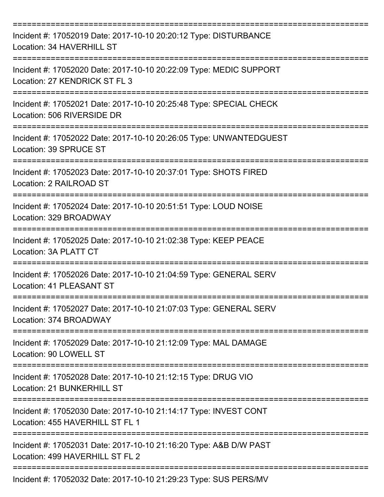| Incident #: 17052019 Date: 2017-10-10 20:20:12 Type: DISTURBANCE<br>Location: 34 HAVERHILL ST               |
|-------------------------------------------------------------------------------------------------------------|
| Incident #: 17052020 Date: 2017-10-10 20:22:09 Type: MEDIC SUPPORT<br>Location: 27 KENDRICK ST FL 3         |
| Incident #: 17052021 Date: 2017-10-10 20:25:48 Type: SPECIAL CHECK<br>Location: 506 RIVERSIDE DR            |
| Incident #: 17052022 Date: 2017-10-10 20:26:05 Type: UNWANTEDGUEST<br>Location: 39 SPRUCE ST                |
| Incident #: 17052023 Date: 2017-10-10 20:37:01 Type: SHOTS FIRED<br>Location: 2 RAILROAD ST                 |
| Incident #: 17052024 Date: 2017-10-10 20:51:51 Type: LOUD NOISE<br>Location: 329 BROADWAY                   |
| Incident #: 17052025 Date: 2017-10-10 21:02:38 Type: KEEP PEACE<br>Location: 3A PLATT CT                    |
| Incident #: 17052026 Date: 2017-10-10 21:04:59 Type: GENERAL SERV<br>Location: 41 PLEASANT ST               |
| ============<br>Incident #: 17052027 Date: 2017-10-10 21:07:03 Type: GENERAL SERV<br>Location: 374 BROADWAY |
| Incident #: 17052029 Date: 2017-10-10 21:12:09 Type: MAL DAMAGE<br>Location: 90 LOWELL ST                   |
| Incident #: 17052028 Date: 2017-10-10 21:12:15 Type: DRUG VIO<br>Location: 21 BUNKERHILL ST                 |
| Incident #: 17052030 Date: 2017-10-10 21:14:17 Type: INVEST CONT<br>Location: 455 HAVERHILL ST FL 1         |
| Incident #: 17052031 Date: 2017-10-10 21:16:20 Type: A&B D/W PAST<br>Location: 499 HAVERHILL ST FL 2        |
| Incident #: 17052032 Date: 2017-10-10 21:29:23 Type: SUS PERS/MV                                            |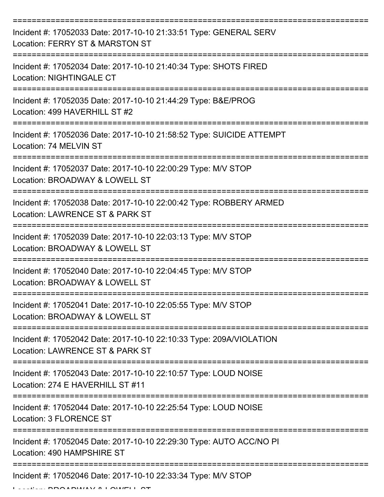| Incident #: 17052033 Date: 2017-10-10 21:33:51 Type: GENERAL SERV<br>Location: FERRY ST & MARSTON ST   |
|--------------------------------------------------------------------------------------------------------|
| Incident #: 17052034 Date: 2017-10-10 21:40:34 Type: SHOTS FIRED<br><b>Location: NIGHTINGALE CT</b>    |
| Incident #: 17052035 Date: 2017-10-10 21:44:29 Type: B&E/PROG<br>Location: 499 HAVERHILL ST #2         |
| Incident #: 17052036 Date: 2017-10-10 21:58:52 Type: SUICIDE ATTEMPT<br>Location: 74 MELVIN ST         |
| Incident #: 17052037 Date: 2017-10-10 22:00:29 Type: M/V STOP<br>Location: BROADWAY & LOWELL ST        |
| Incident #: 17052038 Date: 2017-10-10 22:00:42 Type: ROBBERY ARMED<br>Location: LAWRENCE ST & PARK ST  |
| Incident #: 17052039 Date: 2017-10-10 22:03:13 Type: M/V STOP<br>Location: BROADWAY & LOWELL ST        |
| Incident #: 17052040 Date: 2017-10-10 22:04:45 Type: M/V STOP<br>Location: BROADWAY & LOWELL ST        |
| Incident #: 17052041 Date: 2017-10-10 22:05:55 Type: M/V STOP<br>Location: BROADWAY & LOWELL ST        |
| Incident #: 17052042 Date: 2017-10-10 22:10:33 Type: 209A/VIOLATION<br>Location: LAWRENCE ST & PARK ST |
| Incident #: 17052043 Date: 2017-10-10 22:10:57 Type: LOUD NOISE<br>Location: 274 E HAVERHILL ST #11    |
| Incident #: 17052044 Date: 2017-10-10 22:25:54 Type: LOUD NOISE<br><b>Location: 3 FLORENCE ST</b>      |
| Incident #: 17052045 Date: 2017-10-10 22:29:30 Type: AUTO ACC/NO PI<br>Location: 490 HAMPSHIRE ST      |
| Incident #: 17052046 Date: 2017-10-10 22:33:34 Type: M/V STOP                                          |